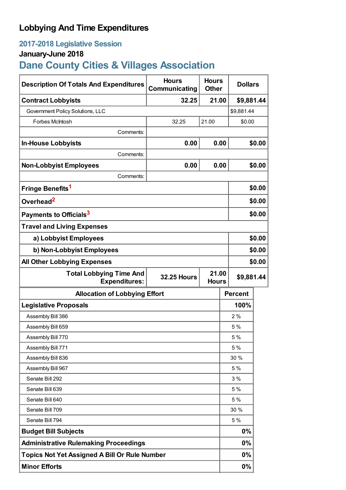## **Lobbying And Time Expenditures**

## **2017-2018 Legislative Session**

## **January-June 2018**

# **Dane County Cities & Villages Association**

| <b>Description Of Totals And Expenditures</b>          | <b>Hours</b><br>Communicating                             | <b>Hours</b><br><b>Other</b> | <b>Dollars</b> |            |  |
|--------------------------------------------------------|-----------------------------------------------------------|------------------------------|----------------|------------|--|
| <b>Contract Lobbyists</b>                              | 32.25                                                     | 21.00<br>\$9,881.44          |                |            |  |
| Government Policy Solutions, LLC                       |                                                           |                              |                | \$9,881.44 |  |
| Forbes McIntosh                                        | 32.25                                                     | 21.00                        |                | \$0.00     |  |
| Comments:                                              |                                                           |                              |                |            |  |
| <b>In-House Lobbyists</b>                              | 0.00                                                      | 0.00                         |                | \$0.00     |  |
| Comments:                                              |                                                           |                              |                |            |  |
| <b>Non-Lobbyist Employees</b>                          | 0.00                                                      | 0.00                         |                | \$0.00     |  |
| Comments:                                              |                                                           |                              |                |            |  |
| Fringe Benefits <sup>1</sup>                           |                                                           |                              |                | \$0.00     |  |
| Overhead <sup>2</sup>                                  |                                                           |                              |                | \$0.00     |  |
| Payments to Officials <sup>3</sup>                     |                                                           |                              |                | \$0.00     |  |
| <b>Travel and Living Expenses</b>                      |                                                           |                              |                |            |  |
| a) Lobbyist Employees                                  |                                                           |                              |                | \$0.00     |  |
| b) Non-Lobbyist Employees                              |                                                           |                              |                | \$0.00     |  |
| <b>All Other Lobbying Expenses</b>                     |                                                           |                              | \$0.00         |            |  |
| <b>Total Lobbying Time And</b><br><b>Expenditures:</b> | 21.00<br><b>32.25 Hours</b><br>\$9,881.44<br><b>Hours</b> |                              |                |            |  |
| <b>Allocation of Lobbying Effort</b>                   |                                                           |                              | <b>Percent</b> |            |  |
| <b>Legislative Proposals</b>                           |                                                           |                              | 100%           |            |  |
| Assembly Bill 386                                      |                                                           |                              | 2%             |            |  |
| Assembly Bill 659                                      |                                                           |                              | 5 %            |            |  |
| Assembly Bill 770                                      |                                                           |                              | 5 %            |            |  |
| Assembly Bill 771                                      |                                                           |                              | 5 %            |            |  |
| Assembly Bill 836                                      |                                                           |                              | 30 %           |            |  |
| Assembly Bill 967                                      |                                                           |                              | 5 %            |            |  |
| Senate Bill 292                                        |                                                           |                              | 3%             |            |  |
| Senate Bill 639                                        |                                                           |                              | 5 %            |            |  |
| Senate Bill 640                                        |                                                           |                              | 5 %            |            |  |
| Senate Bill 709                                        |                                                           |                              | 30 %           |            |  |
| Senate Bill 794                                        |                                                           |                              | 5 %            |            |  |
| <b>Budget Bill Subjects</b>                            |                                                           |                              | 0%             |            |  |
| <b>Administrative Rulemaking Proceedings</b>           |                                                           |                              | 0%             |            |  |
| <b>Topics Not Yet Assigned A Bill Or Rule Number</b>   |                                                           |                              | 0%             |            |  |
| <b>Minor Efforts</b>                                   |                                                           |                              | 0%             |            |  |